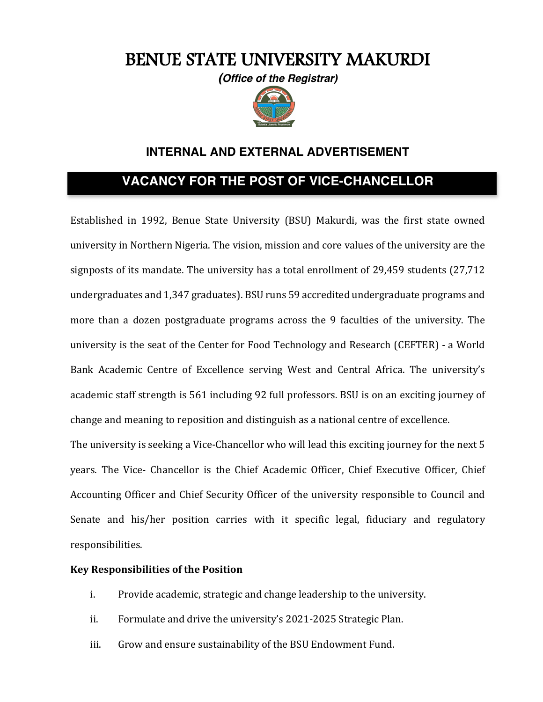# BENUE STATE UNIVERSITY MAKURDI

*(Office of the Registrar)*



# **INTERNAL AND EXTERNAL ADVERTISEMENT**

# **VACANCY FOR THE POST OF VICE-CHANCELLOR**

Established in 1992, Benue State University (BSU) Makurdi, was the first state owned university in Northern Nigeria. The vision, mission and core values of the university are the signposts of its mandate. The university has a total enrollment of  $29,459$  students  $(27,712)$ undergraduates and 1,347 graduates). BSU runs 59 accredited undergraduate programs and more than a dozen postgraduate programs across the 9 faculties of the university. The university is the seat of the Center for Food Technology and Research (CEFTER) - a World Bank Academic Centre of Excellence serving West and Central Africa. The university's academic staff strength is 561 including 92 full professors. BSU is on an exciting journey of change and meaning to reposition and distinguish as a national centre of excellence.

The university is seeking a Vice-Chancellor who will lead this exciting journey for the next 5 vears. The Vice- Chancellor is the Chief Academic Officer, Chief Executive Officer, Chief Accounting Officer and Chief Security Officer of the university responsible to Council and Senate and his/her position carries with it specific legal, fiduciary and regulatory responsibilities. 

#### **Key Responsibilities of the Position**

- i. Provide academic, strategic and change leadership to the university.
- ii. Formulate and drive the university's 2021-2025 Strategic Plan.
- iii. Grow and ensure sustainability of the BSU Endowment Fund.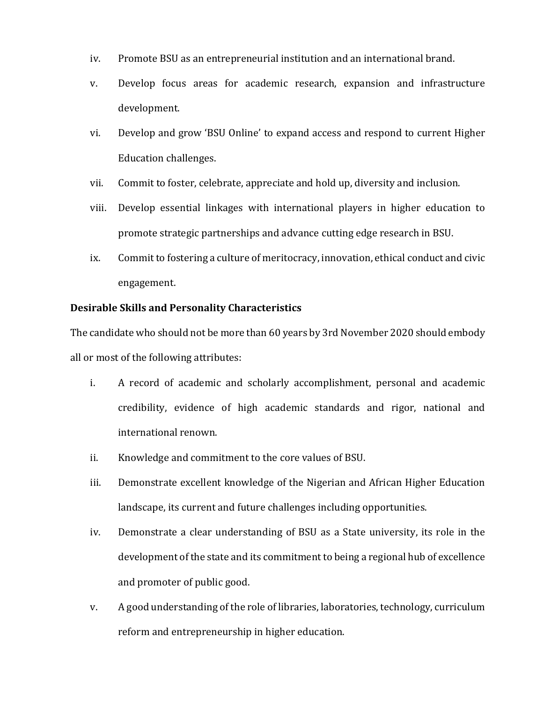- iv. Promote BSU as an entrepreneurial institution and an international brand.
- v. Develop focus areas for academic research, expansion and infrastructure development.
- vi. Develop and grow 'BSU Online' to expand access and respond to current Higher Education challenges.
- vii. Commit to foster, celebrate, appreciate and hold up, diversity and inclusion.
- viii. Develop essential linkages with international players in higher education to promote strategic partnerships and advance cutting edge research in BSU.
- ix. Commit to fostering a culture of meritocracy, innovation, ethical conduct and civic engagement.

#### **Desirable Skills and Personality Characteristics**

The candidate who should not be more than 60 years by 3rd November 2020 should embody all or most of the following attributes:

- i. A record of academic and scholarly accomplishment, personal and academic credibility, evidence of high academic standards and rigor, national and international renown.
- ii. Knowledge and commitment to the core values of BSU.
- iii. Demonstrate excellent knowledge of the Nigerian and African Higher Education landscape, its current and future challenges including opportunities.
- iv. Demonstrate a clear understanding of BSU as a State university, its role in the development of the state and its commitment to being a regional hub of excellence and promoter of public good.
- v. A good understanding of the role of libraries, laboratories, technology, curriculum reform and entrepreneurship in higher education.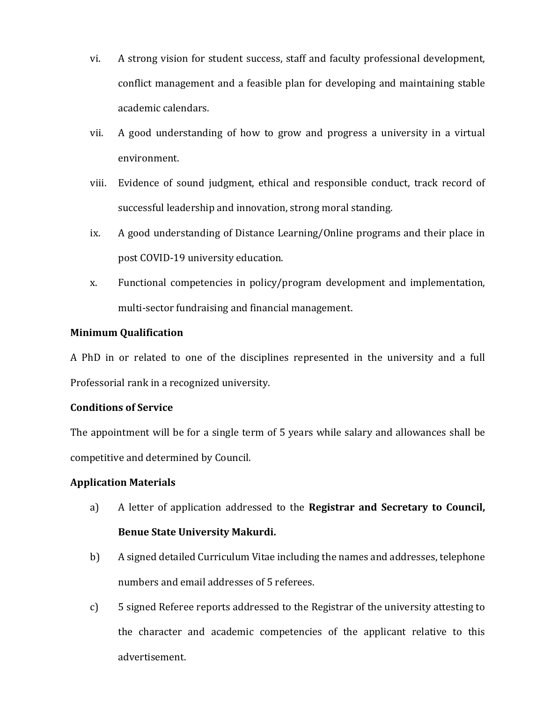- vi. A strong vision for student success, staff and faculty professional development, conflict management and a feasible plan for developing and maintaining stable academic calendars.
- vii. A good understanding of how to grow and progress a university in a virtual environment.
- viii. Evidence of sound judgment, ethical and responsible conduct, track record of successful leadership and innovation, strong moral standing.
- ix. A good understanding of Distance Learning/Online programs and their place in post COVID-19 university education.
- x. Functional competencies in policy/program development and implementation, multi-sector fundraising and financial management.

#### **Minimum Qualification**

A PhD in or related to one of the disciplines represented in the university and a full Professorial rank in a recognized university.

# **Conditions of Service**

The appointment will be for a single term of 5 years while salary and allowances shall be competitive and determined by Council.

# **Application Materials**

- a) A letter of application addressed to the **Registrar and Secretary to Council, Benue State University Makurdi.**
- b) A signed detailed Curriculum Vitae including the names and addresses, telephone numbers and email addresses of 5 referees.
- c) 5 signed Referee reports addressed to the Registrar of the university attesting to the character and academic competencies of the applicant relative to this advertisement.